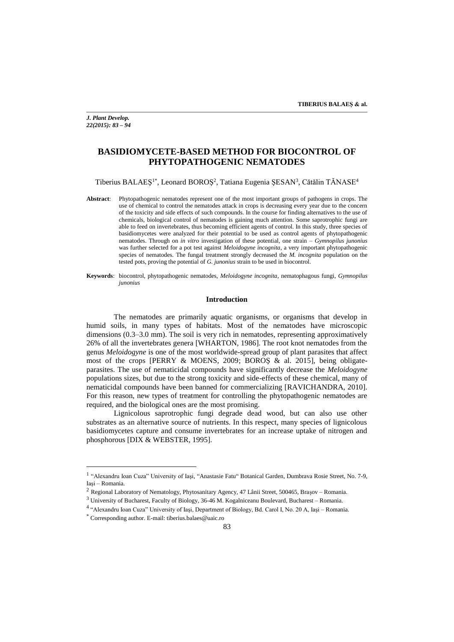*J. Plant Develop. 22(2015): 83 – 94*

# **BASIDIOMYCETE-BASED METHOD FOR BIOCONTROL OF PHYTOPATHOGENIC NEMATODES**

Tiberius BALAEȘ<sup>1\*</sup>, Leonard BOROȘ<sup>2</sup>, Tatiana Eugenia ȘESAN<sup>3</sup>, Cătălin TĂNASE<sup>4</sup>

**Abstract**: Phytopathogenic nematodes represent one of the most important groups of pathogens in crops. The use of chemical to control the nematodes attack in crops is decreasing every year due to the concern of the toxicity and side effects of such compounds. In the course for finding alternatives to the use of chemicals, biological control of nematodes is gaining much attention. Some saprotrophic fungi are able to feed on invertebrates, thus becoming efficient agents of control. In this study, three species of basidiomycetes were analyzed for their potential to be used as control agents of phytopathogenic nematodes. Through on *in vitro* investigation of these potential, one strain – *Gymnopilus junonius* was further selected for a pot test against *Meloidogyne incognita*, a very important phytopathogenic species of nematodes. The fungal treatment strongly decreased the *M. incognita* population on the tested pots, proving the potential of *G*. *junonius* strain to be used in biocontrol.

**Keywords**: biocontrol, phytopathogenic nematodes, *Meloidogyne incognita*, nematophagous fungi, *Gymnopilus junonius*

#### **Introduction**

The nematodes are primarily aquatic organisms, or organisms that develop in humid soils, in many types of habitats. Most of the nematodes have microscopic dimensions (0.3–3.0 mm). The soil is very rich in nematodes, representing approximatively 26% of all the invertebrates genera [WHARTON, 1986]. The root knot nematodes from the genus *Meloidogyne* is one of the most worldwide-spread group of plant parasites that affect most of the crops [PERRY & MOENS, 2009; BOROŞ & al. 2015], being obligateparasites. The use of nematicidal compounds have significantly decrease the *Meloidogyne*  populations sizes, but due to the strong toxicity and side-effects of these chemical, many of nematicidal compounds have been banned for commercializing [RAVICHANDRA, 2010]. For this reason, new types of treatment for controlling the phytopathogenic nematodes are required, and the biological ones are the most promising.

Lignicolous saprotrophic fungi degrade dead wood, but can also use other substrates as an alternative source of nutrients. In this respect, many species of lignicolous basidiomycetes capture and consume invertebrates for an increase uptake of nitrogen and phosphorous [DIX & WEBSTER, 1995].

 $\overline{a}$ 

<sup>&</sup>lt;sup>1</sup> "Alexandru Ioan Cuza" University of Iași, "Anastasie Fatu" Botanical Garden, Dumbrava Rosie Street, No. 7-9, Iaşi – Romania.

<sup>2</sup> Regional Laboratory of Nematology, Phytosanitary Agency, 47 Lânii Street, 500465, Braşov – Romania.

<sup>3</sup> University of Bucharest, Faculty of Biology, 36-46 M. Kogalniceanu Boulevard, Bucharest – Romania.

<sup>&</sup>lt;sup>4</sup> "Alexandru Ioan Cuza" University of Iași, Department of Biology, Bd. Carol I, No. 20 A, Iași – Romania.

<sup>\*</sup> Corresponding author. E-mail: tiberius.balaes@uaic.ro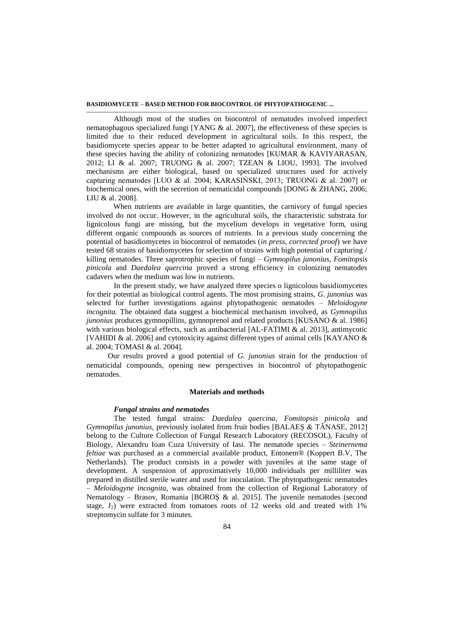Although most of the studies on biocontrol of nematodes involved imperfect nematophagous specialized fungi [YANG & al. 2007], the effectiveness of these species is limited due to their reduced development in agricultural soils. In this respect, the basidiomycete species appear to be better adapted to agricultural environment, many of these species having the ability of colonizing nematodes [KUMAR & KAVIYARASAN, 2012; LI & al. 2007; TRUONG & al. 2007; TZEAN & LIOU, 1993]. The involved mechanisms are either biological, based on specialized structures used for actively capturing nematodes [LUO & al. 2004; KARASIŃSKI, 2013; TRUONG & al. 2007] or biochemical ones, with the secretion of nematicidal compounds [DONG & ZHANG, 2006; LIU & al. 2008].

When nutrients are available in large quantities, the carnivory of fungal species involved do not occur. However, in the agricultural soils, the characteristic substrata for lignicolous fungi are missing, but the mycelium develops in vegetative form, using different organic compounds as sources of nutrients. In a previous study concerning the potential of basidiomycetes in biocontrol of nematodes (*in press, corrected proof*) we have tested 68 strains of basidiomycetes for selection of strains with high potential of capturing / killing nematodes. Three saprotrophic species of fungi – *Gymnopilus junonius*, *Fomitopsis pinicola* and *Daedalea quercina* proved a strong efficiency in colonizing nematodes cadavers when the medium was low in nutrients.

In the present study, we have analyzed three species o lignicolous basidiomycetes for their potential as biological control agents. The most promising strains, *G*. *junonius* was selected for further investigations against phytopathogenic nematodes – *Meloidogyne incognita.* The obtained data suggest a biochemical mechanism involved, as *Gymnopilus junonius* produces gymnopillins, gymnoprenol and related products [KUSANO & al. 1986] with various biological effects, such as antibacterial  $[AL-FATIMI \& al. 2013]$ , antimycotic [VAHIDI & al. 2006] and cytotoxicity against different types of animal cells [KAYANO  $\&$ al. 2004; TOMASI & al. 2004].

Our results proved a good potential of *G. junonius* strain for the production of nematicidal compounds, opening new perspectives in biocontrol of phytopathogenic nematodes.

## **Materials and methods**

#### *Fungal strains and nematodes*

The tested fungal strains: *Daedalea quercina*, *Fomitopsis pinicola* and *Gymnopilus junonius*, previously isolated from fruit bodies [BALAEŞ & TĂNASE, 2012] belong to the Culture Collection of Fungal Research Laboratory (RECOSOL), Faculty of Biology, Alexandru Ioan Cuza University of Iasi. The nematode species – *Steinernema feltiae* was purchased as a commercial available product, Entonem® (Koppert B.V, The Netherlands). The product consists in a powder with juveniles at the same stage of development. A suspension of approximatively 10,000 individuals per milliliter was prepared in distilled sterile water and used for inoculation. The phytopathogenic nematodes – *Meloidogyne incognita*, was obtained from the collection of Regional Laboratory of Nematology – Brasov, Romania [BOROŞ & al. 2015]. The juvenile nematodes (second stage,  $J_2$ ) were extracted from tomatoes roots of 12 weeks old and treated with 1% streptomycin sulfate for 3 minutes.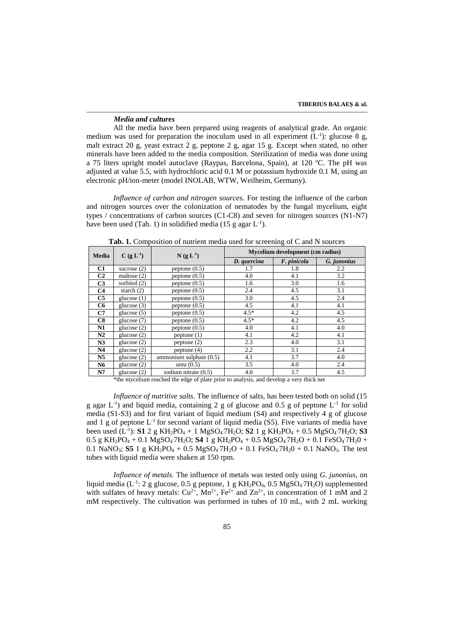#### *Media and cultures*

All the media have been prepared using reagents of analytical grade. An organic medium was used for preparation the inoculum used in all experiment  $(L^{-1})$ : glucose 8 g, malt extract 20 g, yeast extract 2 g, peptone 2 g, agar 15 g. Except when stated, no other minerals have been added to the media composition. Sterilization of media was done using a 75 liters upright model autoclave (Raypas, Barcelona, Spain), at 120 ºC. The pH was adjusted at value 5.5, with hydrochloric acid 0.1 M or potassium hydroxide 0.1 M, using an electronic pH/ion-meter (model INOLAB, WTW, Weilheim, Germany).

*Influence of carbon and nitrogen sources.* For testing the influence of the carbon and nitrogen sources over the colonization of nematodes by the fungal mycelium, eight types / concentrations of carbon sources (C1-C8) and seven for nitrogen sources (N1-N7) have been used (Tab. 1) in solidified media (15 g agar  $L^{-1}$ ).

| <b>Media</b>   | $C(g L^{-1})$  | $N(g L^{-1})$           | Mycelium development (cm radius) |             |             |  |
|----------------|----------------|-------------------------|----------------------------------|-------------|-------------|--|
|                |                |                         | D. quercina                      | F. pinicola | G. junonius |  |
| C1             | sucrose $(2)$  | peptone $(0.5)$         | 1.7                              | 1.8         | 2.2         |  |
| C <sub>2</sub> | maltose $(2)$  | peptone $(0.5)$         | 4.0                              | 4.1         | 3.2         |  |
| C <sub>3</sub> | sorbitol $(2)$ | peptone $(0.5)$         | 1.6                              | 3.0         | 1.6         |  |
| C <sub>4</sub> | starch $(2)$   | peptone $(0.5)$         | 2.4                              | 4.5         | 3.1         |  |
| C5             | glucose $(1)$  | peptone $(0.5)$         | 3.0                              | 4.5         | 2.4         |  |
| C6             | glucose $(3)$  | peptone $(0.5)$         | 4.5                              | 4.1         | 4.1         |  |
| C7             | glucose $(5)$  | peptone $(0.5)$         | $4.5*$                           | 4.2         | 4.5         |  |
| C8             | glucose $(7)$  | peptone $(0.5)$         | $4.5*$                           | 4.2         | 4.5         |  |
| N1             | glucose $(2)$  | peptone $(0.5)$         | 4.0                              | 4.1         | 4.0         |  |
| N2             | glucose $(2)$  | peptone(1)              | 4.1                              | 4.2         | 4.1         |  |
| N3             | glucose $(2)$  | peptone(2)              | 2.3                              | 4.0         | 3.1         |  |
| N <sub>4</sub> | glucose (2)    | peptone $(4)$           | 2.2                              | 3.1         | 2.4         |  |
| N <sub>5</sub> | glucose $(2)$  | ammonium sulphate (0.5) | 4.1                              | 3.7         | 4.0         |  |
| N6             | glucose $(2)$  | urea $(0.5)$            | 3.5                              | 4.0         | 2.4         |  |
| N7             | glucose $(2)$  | sodium nitrate (0.5)    | 4.0                              | 3.7         | 4.5         |  |

Tab. 1. Composition of nutrient media used for screening of C and N sources

\*the mycelium reached the edge of plate prior to analysis, and develop a very thick net

*Influence of nutritive salts*. The influence of salts, has been tested both on solid (15 g agar  $L^{-1}$ ) and liquid media, containing 2 g of glucose and 0.5 g of peptone  $L^{-1}$  for solid media (S1-S3) and for first variant of liquid medium (S4) and respectively 4 g of glucose and 1 g of peptone  $L^{-1}$  for second variant of liquid media (S5). Five variants of media have been used (L<sup>-1</sup>): **S1** 2 g KH<sub>2</sub>PO<sub>4</sub> + 1 MgSO<sub>4</sub>7H<sub>2</sub>O; **S2** 1 g KH<sub>2</sub>PO<sub>4</sub> + 0.5 MgSO<sub>4</sub>7H<sub>2</sub>O; **S3** 0.5 g KH<sub>2</sub>PO<sub>4</sub> + 0.1 MgSO<sub>4</sub><sup>-</sup>7H<sub>2</sub>O; S4 1 g KH<sub>2</sub>PO<sub>4</sub> + 0.5 MgSO<sub>4</sub><sup>-7H<sub>2</sub>O + 0.1 FeSO<sub>4</sub><sup>-7H<sub>2</sub>O +</sup></sup> 0.1 NaNO<sub>3</sub>; **S5** 1 g KH<sub>2</sub>PO<sub>4</sub> + 0.5 MgSO<sub>4</sub> $7H_2O + 0.1$  FeSO<sub>4</sub> $7H_2O + 0.1$  NaNO<sub>3</sub>. The test tubes with liquid media were shaken at 150 rpm.

*Influence of metals.* The influence of metals was tested only using *G. junonius*, on liquid media ( $L^{-1}$ : 2 g glucose, 0.5 g peptone, 1 g KH<sub>2</sub>PO<sub>4</sub>, 0.5 MgSO<sub>4</sub> $7H_2O$ ) supplemented with sulfates of heavy metals:  $Cu^{2+}$ , Mn<sup>2+</sup>, Fe<sup>2+</sup> and Zn<sup>2+</sup>, in concentration of 1 mM and 2 mM respectively. The cultivation was performed in tubes of 10 mL, with 2 mL working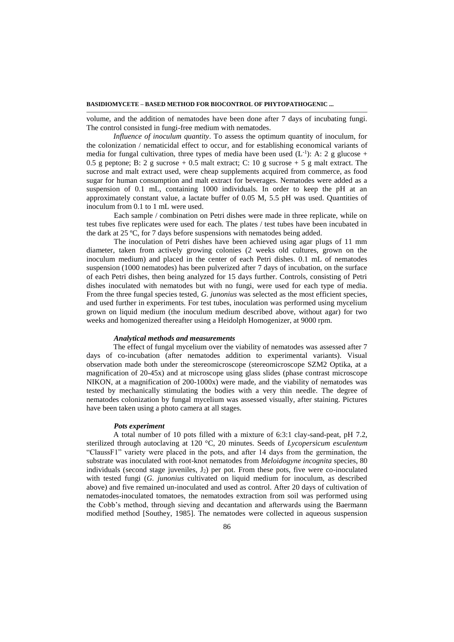volume, and the addition of nematodes have been done after 7 days of incubating fungi. The control consisted in fungi-free medium with nematodes.

*Influence of inoculum quantity*. To assess the optimum quantity of inoculum, for the colonization / nematicidal effect to occur, and for establishing economical variants of media for fungal cultivation, three types of media have been used  $(L^{-1})$ : A: 2 g glucose + 0.5 g peptone; B: 2 g sucrose + 0.5 malt extract; C: 10 g sucrose + 5 g malt extract. The sucrose and malt extract used, were cheap supplements acquired from commerce, as food sugar for human consumption and malt extract for beverages. Nematodes were added as a suspension of 0.1 mL, containing 1000 individuals. In order to keep the pH at an approximately constant value, a lactate buffer of 0.05 M, 5.5 pH was used. Quantities of inoculum from 0.1 to 1 mL were used.

Each sample / combination on Petri dishes were made in three replicate, while on test tubes five replicates were used for each. The plates / test tubes have been incubated in the dark at 25 ºC, for 7 days before suspensions with nematodes being added.

The inoculation of Petri dishes have been achieved using agar plugs of 11 mm diameter, taken from actively growing colonies (2 weeks old cultures, grown on the inoculum medium) and placed in the center of each Petri dishes. 0.1 mL of nematodes suspension (1000 nematodes) has been pulverized after 7 days of incubation, on the surface of each Petri dishes, then being analyzed for 15 days further. Controls, consisting of Petri dishes inoculated with nematodes but with no fungi, were used for each type of media. From the three fungal species tested, *G. junonius* was selected as the most efficient species, and used further in experiments. For test tubes, inoculation was performed using mycelium grown on liquid medium (the inoculum medium described above, without agar) for two weeks and homogenized thereafter using a Heidolph Homogenizer, at 9000 rpm.

# *Analytical methods and measurements*

The effect of fungal mycelium over the viability of nematodes was assessed after 7 days of co-incubation (after nematodes addition to experimental variants). Visual observation made both under the stereomicroscope (stereomicroscope SZM2 Optika, at a magnification of 20-45x) and at microscope using glass slides (phase contrast microscope NIKON, at a magnification of 200-1000x) were made, and the viability of nematodes was tested by mechanically stimulating the bodies with a very thin needle. The degree of nematodes colonization by fungal mycelium was assessed visually, after staining. Pictures have been taken using a photo camera at all stages.

## *Pots experiment*

A total number of 10 pots filled with a mixture of 6:3:1 clay-sand-peat, pH 7.2, sterilized through autoclaving at 120 °C, 20 minutes. Seeds of *Lycopersicum esculentum* "ClaussF1" variety were placed in the pots, and after 14 days from the germination, the substrate was inoculated with root-knot nematodes from *Meloidogyne incognita* species, 80 individuals (second stage juveniles,  $J_2$ ) per pot. From these pots, five were co-inoculated with tested fungi (*G. junonius* cultivated on liquid medium for inoculum, as described above) and five remained un-inoculated and used as control. After 20 days of cultivation of nematodes-inoculated tomatoes, the nematodes extraction from soil was performed using the Cobb's method, through sieving and decantation and afterwards using the Baermann modified method [Southey, 1985]. The nematodes were collected in aqueous suspension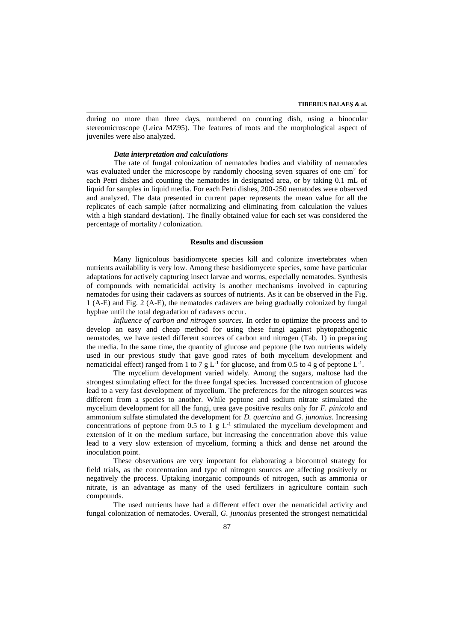during no more than three days, numbered on counting dish, using a binocular stereomicroscope (Leica MZ95). The features of roots and the morphological aspect of juveniles were also analyzed.

#### *Data interpretation and calculations*

The rate of fungal colonization of nematodes bodies and viability of nematodes was evaluated under the microscope by randomly choosing seven squares of one  $\text{cm}^2$  for each Petri dishes and counting the nematodes in designated area, or by taking 0.1 mL of liquid for samples in liquid media. For each Petri dishes, 200-250 nematodes were observed and analyzed. The data presented in current paper represents the mean value for all the replicates of each sample (after normalizing and eliminating from calculation the values with a high standard deviation). The finally obtained value for each set was considered the percentage of mortality / colonization.

# **Results and discussion**

Many lignicolous basidiomycete species kill and colonize invertebrates when nutrients availability is very low. Among these basidiomycete species, some have particular adaptations for actively capturing insect larvae and worms, especially nematodes. Synthesis of compounds with nematicidal activity is another mechanisms involved in capturing nematodes for using their cadavers as sources of nutrients. As it can be observed in the Fig. 1 (A-E) and Fig. 2 (A-E), the nematodes cadavers are being gradually colonized by fungal hyphae until the total degradation of cadavers occur.

*Influence of carbon and nitrogen sources.* In order to optimize the process and to develop an easy and cheap method for using these fungi against phytopathogenic nematodes, we have tested different sources of carbon and nitrogen (Tab. 1) in preparing the media. In the same time, the quantity of glucose and peptone (the two nutrients widely used in our previous study that gave good rates of both mycelium development and nematicidal effect) ranged from 1 to 7 g  $L^{-1}$  for glucose, and from 0.5 to 4 g of peptone  $L^{-1}$ .

The mycelium development varied widely. Among the sugars, maltose had the strongest stimulating effect for the three fungal species. Increased concentration of glucose lead to a very fast development of mycelium. The preferences for the nitrogen sources was different from a species to another. While peptone and sodium nitrate stimulated the mycelium development for all the fungi, urea gave positive results only for *F. pinicola* and ammonium sulfate stimulated the development for *D. quercina* and *G. junonius*. Increasing concentrations of peptone from 0.5 to 1  $g L<sup>-1</sup>$  stimulated the mycelium development and extension of it on the medium surface, but increasing the concentration above this value lead to a very slow extension of mycelium, forming a thick and dense net around the inoculation point.

These observations are very important for elaborating a biocontrol strategy for field trials, as the concentration and type of nitrogen sources are affecting positively or negatively the process. Uptaking inorganic compounds of nitrogen, such as ammonia or nitrate, is an advantage as many of the used fertilizers in agriculture contain such compounds.

The used nutrients have had a different effect over the nematicidal activity and fungal colonization of nematodes. Overall, *G. junonius* presented the strongest nematicidal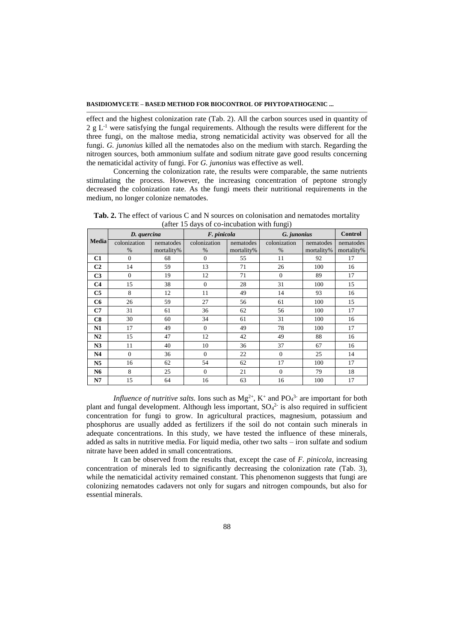effect and the highest colonization rate (Tab. 2). All the carbon sources used in quantity of  $2 g L<sup>-1</sup>$  were satisfying the fungal requirements. Although the results were different for the three fungi, on the maltose media, strong nematicidal activity was observed for all the fungi. *G. junonius* killed all the nematodes also on the medium with starch. Regarding the nitrogen sources, both ammonium sulfate and sodium nitrate gave good results concerning the nematicidal activity of fungi. For *G. junonius* was effective as well.

Concerning the colonization rate, the results were comparable, the same nutrients stimulating the process. However, the increasing concentration of peptone strongly decreased the colonization rate. As the fungi meets their nutritional requirements in the medium, no longer colonize nematodes.

Tab. 2. The effect of various C and N sources on colonisation and nematodes mortality (after 15 days of co-incubation with fungi)

| $\frac{1}{2}$<br>$\sigma$ . The abation with $\sigma$<br>--0-1 |              |            |                  |            |              |            |                |
|----------------------------------------------------------------|--------------|------------|------------------|------------|--------------|------------|----------------|
|                                                                | D. quercina  |            | F. pinicola      |            | G. junonius  |            | <b>Control</b> |
| <b>Media</b>                                                   | colonization | nematodes  | colonization     | nematodes  | colonization | nematodes  | nematodes      |
|                                                                | $\%$         | mortality% | $\%$             | mortality% | $\%$         | mortality% | mortality%     |
| C1                                                             | $\Omega$     | 68         | $\Omega$         | 55         | 11           | 92         | 17             |
| C <sub>2</sub>                                                 | 14           | 59         | 13               | 71         | 26           | 100        | 16             |
| C <sub>3</sub>                                                 | $\mathbf{0}$ | 19         | 12               | 71         | $\mathbf{0}$ | 89         | 17             |
| C <sub>4</sub>                                                 | 15           | 38         | $\boldsymbol{0}$ | 28         | 31           | 100        | 15             |
| C <sub>5</sub>                                                 | 8            | 12         | 11               | 49         | 14           | 93         | 16             |
| C6                                                             | 26           | 59         | 27               | 56         | 61           | 100        | 15             |
| C7                                                             | 31           | 61         | 36               | 62         | 56           | 100        | 17             |
| C8                                                             | 30           | 60         | 34               | 61         | 31           | 100        | 16             |
| N1                                                             | 17           | 49         | $\Omega$         | 49         | 78           | 100        | 17             |
| N2                                                             | 15           | 47         | 12               | 42         | 49           | 88         | 16             |
| N3                                                             | 11           | 40         | 10               | 36         | 37           | 67         | 16             |
| N <sub>4</sub>                                                 | $\mathbf{0}$ | 36         | $\theta$         | 22         | $\mathbf{0}$ | 25         | 14             |
| N <sub>5</sub>                                                 | 16           | 62         | 54               | 62         | 17           | 100        | 17             |
| N6                                                             | 8            | 25         | $\mathbf{0}$     | 21         | $\mathbf{0}$ | 79         | 18             |
| N7                                                             | 15           | 64         | 16               | 63         | 16           | 100        | 17             |

*Influence of nutritive salts.* Ions such as  $Mg^{2+}$ ,  $K^+$  and  $PO_4^{3-}$  are important for both plant and fungal development. Although less important,  $SO_4^2$  is also required in sufficient concentration for fungi to grow. In agricultural practices, magnesium, potassium and phosphorus are usually added as fertilizers if the soil do not contain such minerals in adequate concentrations. In this study, we have tested the influence of these minerals, added as salts in nutritive media. For liquid media, other two salts – iron sulfate and sodium nitrate have been added in small concentrations.

It can be observed from the results that, except the case of *F. pinicola*, increasing concentration of minerals led to significantly decreasing the colonization rate (Tab. 3), while the nematicidal activity remained constant. This phenomenon suggests that fungi are colonizing nematodes cadavers not only for sugars and nitrogen compounds, but also for essential minerals.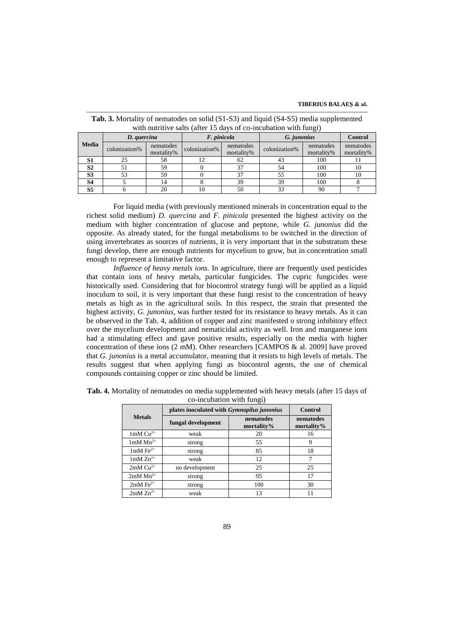#### **TIBERIUS BALAEŞ & al.**

| $\mathcal{\sigma}$ |               |                         |               |                         |               |                         |                         |
|--------------------|---------------|-------------------------|---------------|-------------------------|---------------|-------------------------|-------------------------|
|                    | D. quercina   |                         | F. pinicola   |                         | G. junonius   |                         | <b>Control</b>          |
| Media              | colonization% | nematodes<br>mortality% | colonization% | nematodes<br>mortality% | colonization% | nematodes<br>mortality% | nematodes<br>mortality% |
| S1                 | 25            | 58                      |               | 62                      | 43            | 100                     |                         |
| S <sub>2</sub>     |               | 59                      |               | 37                      | 54            | 100                     | 10                      |
| S <sub>3</sub>     |               | 59                      |               | 37                      | 55            | 100                     | 10                      |
| <b>S4</b>          |               |                         |               | 39                      | 39            | 100                     |                         |
| S5                 |               | 20                      |               | 50                      |               | 90                      |                         |

**Tab. 3.** Mortality of nematodes on solid (S1-S3) and liquid (S4-S5) media supplemented with nutritive salts (after 15 days of co-incubation with fungi)

For liquid media (with previously mentioned minerals in concentration equal to the richest solid medium) *D. quercina* and *F. pinicola* presented the highest activity on the medium with higher concentration of glucose and peptone, while *G. junonius* did the opposite. As already stated, for the fungal metabolisms to be switched in the direction of using invertebrates as sources of nutrients, it is very important that in the substratum these fungi develop, there are enough nutrients for mycelium to grow, but in concentration small enough to represent a limitative factor.

*Influence of heavy metals ions.* In agriculture, there are frequently used pesticides that contain ions of heavy metals, particular fungicides. The cupric fungicides were historically used. Considering that for biocontrol strategy fungi will be applied as a liquid inoculum to soil, it is very important that these fungi resist to the concentration of heavy metals as high as in the agricultural soils. In this respect, the strain that presented the highest activity, *G. junonius*, was further tested for its resistance to heavy metals. As it can be observed in the Tab. 4, addition of copper and zinc manifested o strong inhibitory effect over the mycelium development and nematicidal activity as well. Iron and manganese ions had a stimulating effect and gave positive results, especially on the media with higher concentration of these ions (2 mM). Other researchers [CAMPOS & al. 2009] have proved that *G. junonius* is a metal accumulator, meaning that it resists to high levels of metals. The results suggest that when applying fungi as biocontrol agents, the use of chemical compounds containing copper or zinc should be limited.

| ັ                             |                                                   |                         |                            |  |  |
|-------------------------------|---------------------------------------------------|-------------------------|----------------------------|--|--|
|                               | plates inoculated with <i>Gymnopilus junonius</i> | Control                 |                            |  |  |
| <b>Metals</b>                 | fungal development                                | nematodes<br>mortality% | nematodes<br>mortality $%$ |  |  |
| $1mM Cu2+$                    | weak                                              | 20                      | 16                         |  |  |
| $1 \text{mM} \text{ Mn}^{2+}$ | strong                                            | 55                      | 9                          |  |  |
| $1mM Fe2+$                    | strong                                            | 85                      | 18                         |  |  |
| $1mM Zn^{2+}$                 | weak                                              | 12                      |                            |  |  |
| $2mM Cu2+$                    | no development                                    | 25                      | 25                         |  |  |
| $2mM$ Mn <sup>2+</sup>        | strong                                            | 95                      | 17                         |  |  |
| $2mM Fe2+$                    | strong                                            | 100                     | 30                         |  |  |
| $2mM Zn^{2+}$                 | weak                                              | 13                      |                            |  |  |

**Tab. 4.** Mortality of nematodes on media supplemented with heavy metals (after 15 days of co-incubation with fungi)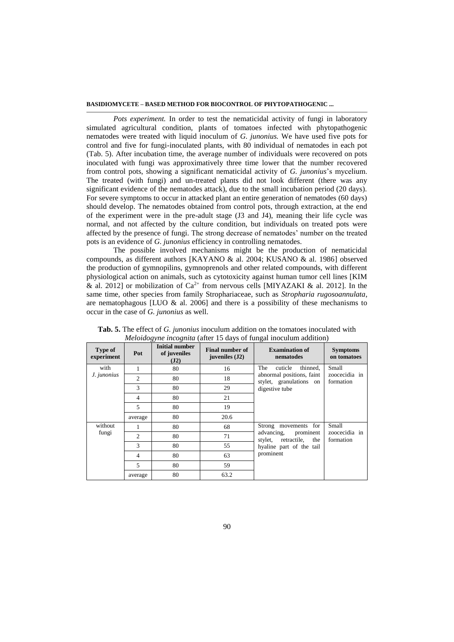*Pots experiment.* In order to test the nematicidal activity of fungi in laboratory simulated agricultural condition, plants of tomatoes infected with phytopathogenic nematodes were treated with liquid inoculum of *G. junonius.* We have used five pots for control and five for fungi-inoculated plants, with 80 individual of nematodes in each pot (Tab. 5). After incubation time, the average number of individuals were recovered on pots inoculated with fungi was approximatively three time lower that the number recovered from control pots, showing a significant nematicidal activity of *G. junonius*'s mycelium. The treated (with fungi) and un-treated plants did not look different (there was any significant evidence of the nematodes attack), due to the small incubation period (20 days). For severe symptoms to occur in attacked plant an entire generation of nematodes (60 days) should develop. The nematodes obtained from control pots, through extraction, at the end of the experiment were in the pre-adult stage (J3 and J4), meaning their life cycle was normal, and not affected by the culture condition, but individuals on treated pots were affected by the presence of fungi. The strong decrease of nematodes' number on the treated pots is an evidence of *G. junonius* efficiency in controlling nematodes.

The possible involved mechanisms might be the production of nematicidal compounds, as different authors [KAYANO & al. 2004; KUSANO & al. 1986] observed the production of gymnopilins, gymnoprenols and other related compounds, with different physiological action on animals, such as cytotoxicity against human tumor cell lines [KIM & al. 2012] or mobilization of  $Ca^{2+}$  from nervous cells [MIYAZAKI & al. 2012]. In the same time, other species from family Strophariaceae, such as *Stropharia rugosoannulata*, are nematophagous [LUO  $\&$  al. 2006] and there is a possibility of these mechanisms to occur in the case of *G. junonius* as well.

| Type of<br>experiment | Pot            | <b>Initial number</b><br>of juveniles<br>(J2) | <b>Final number of</b><br>juveniles $(J2)$ | <b>Examination of</b><br>nematodes                                             | <b>Symptoms</b><br>on tomatoes |
|-----------------------|----------------|-----------------------------------------------|--------------------------------------------|--------------------------------------------------------------------------------|--------------------------------|
| with                  |                | 80                                            | 16                                         | The<br>cuticle<br>thinned,                                                     | Small                          |
| J. junonius           | $\overline{c}$ | 80                                            | 18                                         | abnormal positions, faint<br>stylet, granulations on<br>digestive tube         | zoocecidia in<br>formation     |
|                       | 3              | 80                                            | 29                                         |                                                                                |                                |
|                       | 4              | 80                                            | 21                                         |                                                                                |                                |
|                       | 5              | 80                                            | 19                                         |                                                                                |                                |
|                       | average        | 80                                            | 20.6                                       |                                                                                |                                |
| without               |                | 80                                            | 68                                         | Strong movements for                                                           | Small                          |
| fungi                 | $\overline{c}$ | 80                                            | 71                                         | advancing, prominent<br>stylet,<br>retractile, the<br>hyaline part of the tail | zoocecidia in<br>formation     |
|                       | 3              | 80                                            | 55                                         |                                                                                |                                |
|                       | $\overline{4}$ | 80                                            | 63                                         | prominent                                                                      |                                |
|                       | 5              | 80                                            | 59                                         |                                                                                |                                |
|                       | average        | 80                                            | 63.2                                       |                                                                                |                                |

**Tab. 5.** The effect of *G. junonius* inoculum addition on the tomatoes inoculated with *Meloidogyne incognita* (after 15 days of fungal inoculum addition)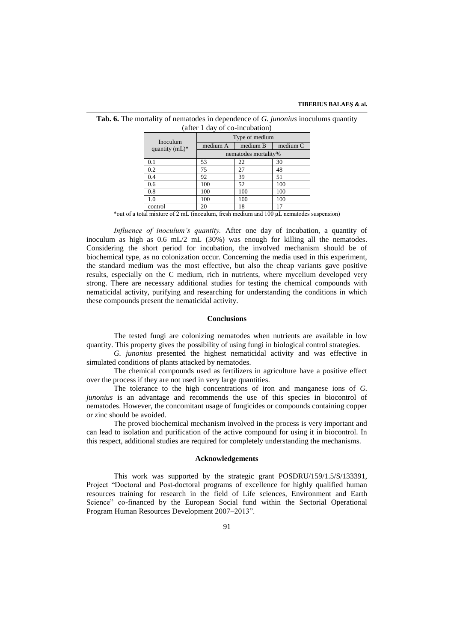| and $\frac{1}{2}$ day of co-incubation, |                      |          |          |  |  |  |
|-----------------------------------------|----------------------|----------|----------|--|--|--|
| Inoculum                                | Type of medium       |          |          |  |  |  |
| quantity $(mL)^*$                       | medium A             | medium B | medium C |  |  |  |
|                                         | nematodes mortality% |          |          |  |  |  |
| 0.1                                     | 53                   | 22       | 30       |  |  |  |
| 0.2                                     | 75                   | 27       | 48       |  |  |  |
| 0.4                                     | 92                   | 39       | 51       |  |  |  |
| 0.6                                     | 100                  | 52       | 100      |  |  |  |
| 0.8                                     | 100                  | 100      | 100      |  |  |  |
| 1.0                                     | 100                  | 100      | 100      |  |  |  |
| control                                 | 20                   | 18       | 17       |  |  |  |

**Tab. 6.** The mortality of nematodes in dependence of *G. junonius* inoculums quantity (after 1 day of co-incubation)

\*out of a total mixture of 2 mL (inoculum, fresh medium and 100 μL nematodes suspension)

*Influence of inoculum's quantity.* After one day of incubation, a quantity of inoculum as high as  $0.6 \text{ mL}/2 \text{ mL}$  (30%) was enough for killing all the nematodes. Considering the short period for incubation, the involved mechanism should be of biochemical type, as no colonization occur. Concerning the media used in this experiment, the standard medium was the most effective, but also the cheap variants gave positive results, especially on the C medium, rich in nutrients, where mycelium developed very strong. There are necessary additional studies for testing the chemical compounds with nematicidal activity, purifying and researching for understanding the conditions in which these compounds present the nematicidal activity.

#### **Conclusions**

The tested fungi are colonizing nematodes when nutrients are available in low quantity. This property gives the possibility of using fungi in biological control strategies.

*G. junonius* presented the highest nematicidal activity and was effective in simulated conditions of plants attacked by nematodes.

The chemical compounds used as fertilizers in agriculture have a positive effect over the process if they are not used in very large quantities.

The tolerance to the high concentrations of iron and manganese ions of *G. junonius* is an advantage and recommends the use of this species in biocontrol of nematodes. However, the concomitant usage of fungicides or compounds containing copper or zinc should be avoided.

The proved biochemical mechanism involved in the process is very important and can lead to isolation and purification of the active compound for using it in biocontrol. In this respect, additional studies are required for completely understanding the mechanisms.

#### **Acknowledgements**

This work was supported by the strategic grant POSDRU/159/1.5/S/133391, Project "Doctoral and Post-doctoral programs of excellence for highly qualified human resources training for research in the field of Life sciences, Environment and Earth Science" co-financed by the European Social fund within the Sectorial Operational Program Human Resources Development 2007–2013".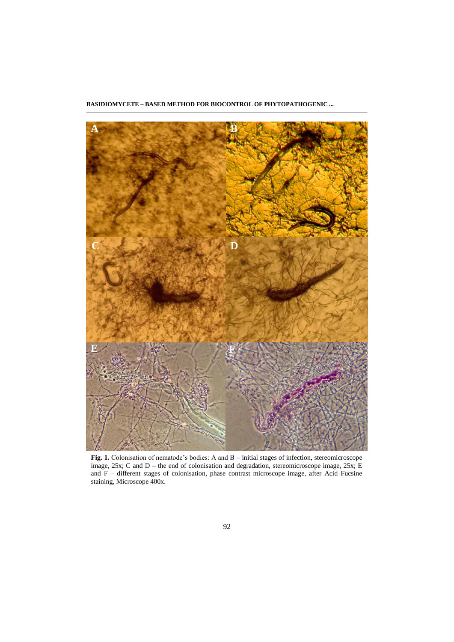

**Fig. 1.** Colonisation of nematode's bodies: A and B – initial stages of infection, stereomicroscope image, 25x; C and D – the end of colonisation and degradation, stereomicroscope image, 25x; E and F – different stages of colonisation, phase contrast microscope image, after Acid Fucsine staining, Microscope 400x.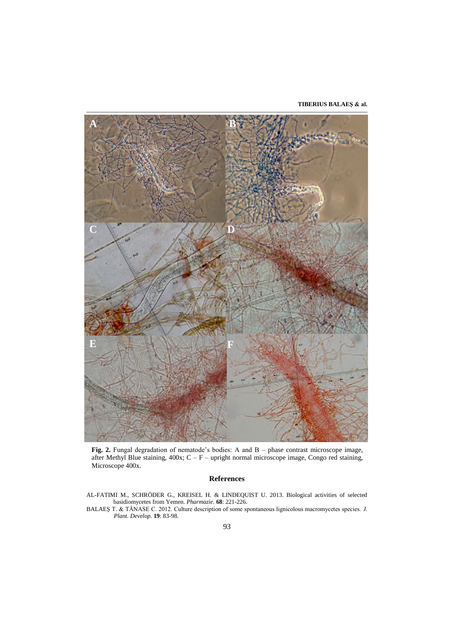**TIBERIUS BALAEŞ & al.**



**Fig. 2.** Fungal degradation of nematode's bodies: A and B – phase contrast microscope image, after Methyl Blue staining,  $400x$ ;  $C - F -$  upright normal microscope image, Congo red staining, Microscope 400x.

## **References**

AL-FATIMI M., SCHRÖDER G., KREISEL H. & LINDEQUIST U. 2013. Biological activities of selected basidiomycetes from Yemen. *Pharmazie.* **68**: 221-226.

BALAEŞ T. & TĂNASE C. 2012. Culture description of some spontaneous lignicolous macromycetes species. *J. Plant. Develop.* **19**: 83-98.